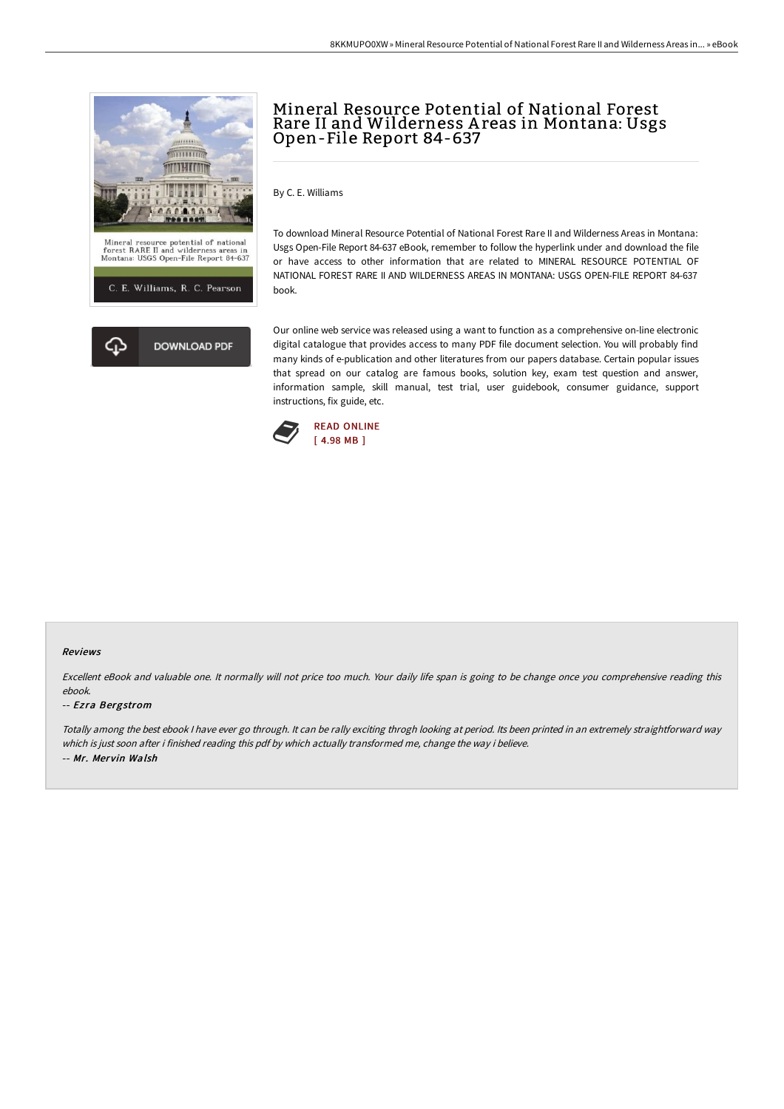

## Mineral Resource Potential of National Forest Rare II and Wilderness A reas in Montana: Usgs Open-File Report 84-637

By C. E. Williams

To download Mineral Resource Potential of National Forest Rare II and Wilderness Areas in Montana: Usgs Open-File Report 84-637 eBook, remember to follow the hyperlink under and download the file or have access to other information that are related to MINERAL RESOURCE POTENTIAL OF NATIONAL FOREST RARE II AND WILDERNESS AREAS IN MONTANA: USGS OPEN-FILE REPORT 84-637 book.

Our online web service was released using a want to function as a comprehensive on-line electronic digital catalogue that provides access to many PDF file document selection. You will probably find many kinds of e-publication and other literatures from our papers database. Certain popular issues that spread on our catalog are famous books, solution key, exam test question and answer, information sample, skill manual, test trial, user guidebook, consumer guidance, support instructions, fix guide, etc.



## Reviews

Excellent eBook and valuable one. It normally will not price too much. Your daily life span is going to be change once you comprehensive reading this ebook.

## -- Ezra Bergstrom

Totally among the best ebook <sup>I</sup> have ever go through. It can be rally exciting throgh looking at period. Its been printed in an extremely straightforward way which is just soon after i finished reading this pdf by which actually transformed me, change the way i believe. -- Mr. Mervin Walsh